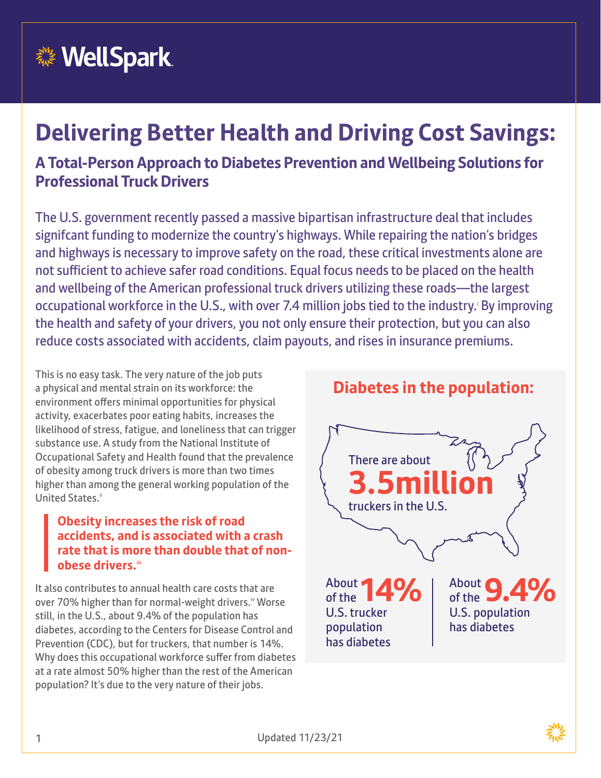

## **Delivering Better Health and Driving Cost Savings: A Total-Person Approach to Diabetes Prevention and Wellbeing Solutions for**

#### **Professional Truck Drivers**

The U.S. government recently passed a massive bipartisan infrastructure deal that includes signifcant funding to modernize the country's highways. While repairing the nation's bridges and highways is necessary to improve safety on the road, these critical investments alone are not sufficient to achieve safer road conditions. Equal focus needs to be placed on the health and wellbeing of the American professional truck drivers utilizing these roads—the largest occupational workforce in the U.S., with over 7.4 million jobs tied to the industry. By improving the health and safety of your drivers, you not only ensure their protection, but you can also reduce costs associated with accidents, claim payouts, and rises in insurance premiums.

This is no easy task. The very nature of the job puts a physical and mental strain on its workforce: the environment offers minimal opportunities for physical activity, exacerbates poor eating habits, increases the likelihood of stress, fatigue, and loneliness that can trigger substance use. A study from the National Institute of Occupational Safety and Health found that the prevalence of obesity among truck drivers is more than two times higher than among the general working population of the United States.<sup>ii</sup>

#### **Obesity increases the risk of road accidents, and is associated with a crash rate that is more than double that of nonobese drivers.iii**

It also contributes to annual health care costs that are over 70% higher than for normal-weight drivers.<sup>iv</sup> Worse still, in the U.S., about 9.4% of the population has diabetes, according to the Centers for Disease Control and Prevention (CDC), but for truckers, that number is 14%. Why does this occupational workforce suffer from diabetes at a rate almost 50% higher than the rest of the American population? It's due to the very nature of their jobs.

#### **Diabetes in the population:**



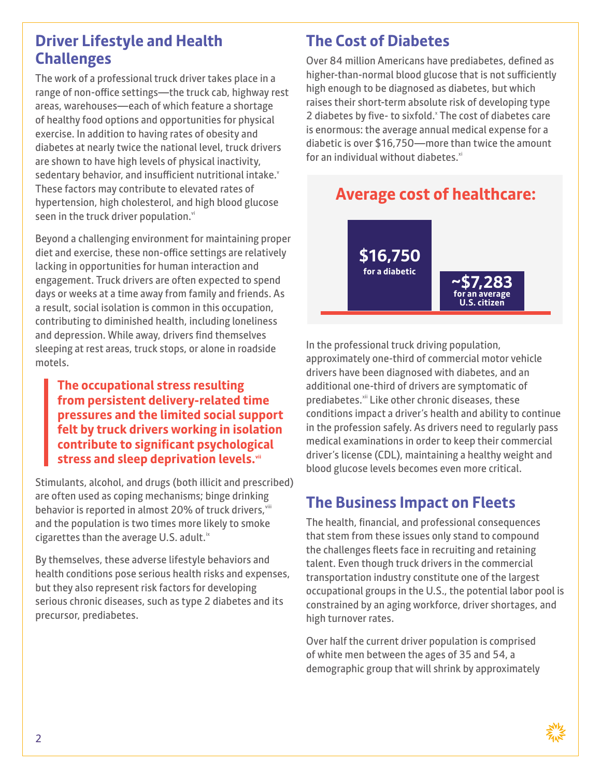#### **Driver Lifestyle and Health Challenges**

The work of a professional truck driver takes place in a range of non-office settings—the truck cab, highway rest areas, warehouses—each of which feature a shortage of healthy food options and opportunities for physical exercise. In addition to having rates of obesity and diabetes at nearly twice the national level, truck drivers are shown to have high levels of physical inactivity, sedentary behavior, and insufficient nutritional intake. These factors may contribute to elevated rates of hypertension, high cholesterol, and high blood glucose seen in the truck driver population.<sup>vi</sup>

Beyond a challenging environment for maintaining proper diet and exercise, these non-office settings are relatively lacking in opportunities for human interaction and engagement. Truck drivers are often expected to spend days or weeks at a time away from family and friends. As a result, social isolation is common in this occupation, contributing to diminished health, including loneliness and depression. While away, drivers find themselves sleeping at rest areas, truck stops, or alone in roadside motels.

**The occupational stress resulting from persistent delivery-related time pressures and the limited social support felt by truck drivers working in isolation contribute to significant psychological stress and sleep deprivation levels.**vii

Stimulants, alcohol, and drugs (both illicit and prescribed) are often used as coping mechanisms; binge drinking behavior is reported in almost 20% of truck drivers, viii and the population is two times more likely to smoke cigarettes than the average U.S. adult. $\mathbb{R}^k$ 

By themselves, these adverse lifestyle behaviors and health conditions pose serious health risks and expenses, but they also represent risk factors for developing serious chronic diseases, such as type 2 diabetes and its precursor, prediabetes.

#### **The Cost of Diabetes**

Over 84 million Americans have prediabetes, defined as higher-than-normal blood glucose that is not sufficiently high enough to be diagnosed as diabetes, but which raises their short-term absolute risk of developing type 2 diabetes by five- to sixfold. The cost of diabetes care is enormous: the average annual medical expense for a diabetic is over \$16,750—more than twice the amount for an individual without diabetes. $x$ <sup>i</sup>

#### **Average cost of healthcare:**



In the professional truck driving population, approximately one-third of commercial motor vehicle drivers have been diagnosed with diabetes, and an additional one-third of drivers are symptomatic of prediabetes.<sup>xii</sup> Like other chronic diseases, these conditions impact a driver's health and ability to continue in the profession safely. As drivers need to regularly pass medical examinations in order to keep their commercial driver's license (CDL), maintaining a healthy weight and blood glucose levels becomes even more critical.

#### **The Business Impact on Fleets**

The health, financial, and professional consequences that stem from these issues only stand to compound the challenges fleets face in recruiting and retaining talent. Even though truck drivers in the commercial transportation industry constitute one of the largest occupational groups in the U.S., the potential labor pool is constrained by an aging workforce, driver shortages, and high turnover rates.

Over half the current driver population is comprised of white men between the ages of 35 and 54, a demographic group that will shrink by approximately

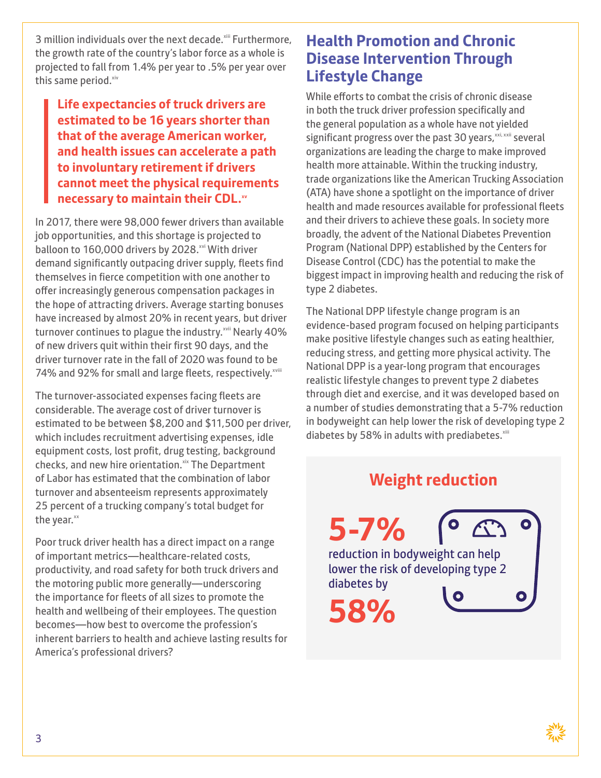3 million individuals over the next decade.<sup>xiii</sup> Furthermore, the growth rate of the country's labor force as a whole is projected to fall from 1.4% per year to .5% per year over this same period.<sup>xiv</sup>

**Life expectancies of truck drivers are estimated to be 16 years shorter than that of the average American worker, and health issues can accelerate a path to involuntary retirement if drivers cannot meet the physical requirements necessary to maintain their CDL.xv** 

In 2017, there were 98,000 fewer drivers than available job opportunities, and this shortage is projected to balloon to 160,000 drivers by 2028.<sup>xvi</sup> With driver demand significantly outpacing driver supply, fleets find themselves in fierce competition with one another to offer increasingly generous compensation packages in the hope of attracting drivers. Average starting bonuses have increased by almost 20% in recent years, but driver turnover continues to plague the industry.<sup>xvii</sup> Nearly 40% of new drivers quit within their first 90 days, and the driver turnover rate in the fall of 2020 was found to be 74% and 92% for small and large fleets, respectively.<sup>xviii</sup>

The turnover-associated expenses facing fleets are considerable. The average cost of driver turnover is estimated to be between \$8,200 and \$11,500 per driver, which includes recruitment advertising expenses, idle equipment costs, lost profit, drug testing, background checks, and new hire orientation.<sup>xix</sup> The Department of Labor has estimated that the combination of labor turnover and absenteeism represents approximately 25 percent of a trucking company's total budget for the year.xx

Poor truck driver health has a direct impact on a range of important metrics—healthcare-related costs, productivity, and road safety for both truck drivers and the motoring public more generally—underscoring the importance for fleets of all sizes to promote the health and wellbeing of their employees. The question becomes—how best to overcome the profession's inherent barriers to health and achieve lasting results for America's professional drivers?

#### **Health Promotion and Chronic Disease Intervention Through Lifestyle Change**

While efforts to combat the crisis of chronic disease in both the truck driver profession specifically and the general population as a whole have not yielded significant progress over the past 30 years, xxi, xxii several organizations are leading the charge to make improved health more attainable. Within the trucking industry, trade organizations like the American Trucking Association (ATA) have shone a spotlight on the importance of driver health and made resources available for professional fleets and their drivers to achieve these goals. In society more broadly, the advent of the National Diabetes Prevention Program (National DPP) established by the Centers for Disease Control (CDC) has the potential to make the biggest impact in improving health and reducing the risk of type 2 diabetes.

The National DPP lifestyle change program is an evidence-based program focused on helping participants make positive lifestyle changes such as eating healthier, reducing stress, and getting more physical activity. The National DPP is a year-long program that encourages realistic lifestyle changes to prevent type 2 diabetes through diet and exercise, and it was developed based on a number of studies demonstrating that a 5-7% reduction in bodyweight can help lower the risk of developing type 2 diabetes by 58% in adults with prediabetes.<sup>xiii</sup>

#### **Weight reduction**

**5-7%**  reduction in bodyweight can help lower the risk of developing type 2 diabetes by

**58%**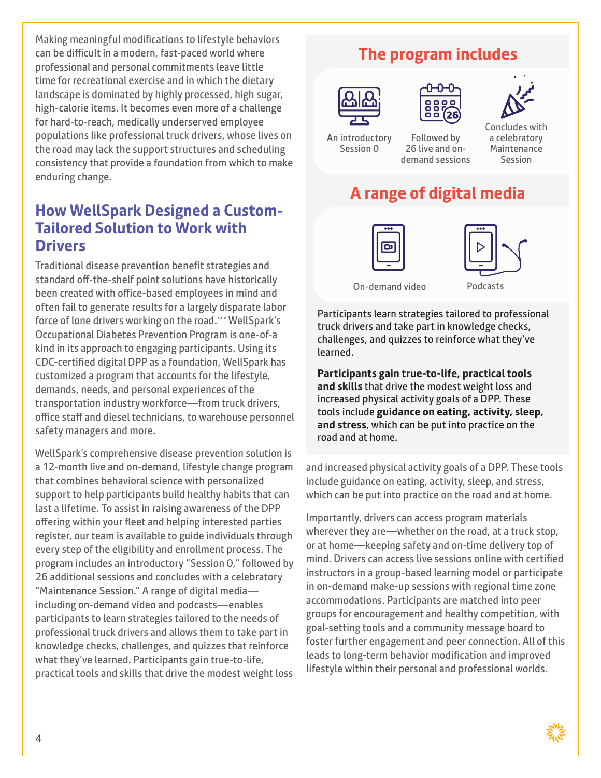Making meaningful modifications to lifestyle behaviors can be difficult in a modern, fast-paced world where professional and personal commitments leave little time for recreational exercise and in which the dietary landscape is dominated by highly processed, high sugar, high-calorie items. It becomes even more of a challenge for hard-to-reach, medically underserved employee populations like professional truck drivers, whose lives on the road may lack the support structures and scheduling consistency that provide a foundation from which to make enduring change.

#### **How WellSpark Designed a Custom-Tailored Solution to Work with Drivers**

Traditional disease prevention benefit strategies and standard off-the-shelf point solutions have historically been created with office-based employees in mind and often fail to generate results for a largely disparate labor force of lone drivers working on the road.<sup>xxiv</sup> WellSpark's Occupational Diabetes Prevention Program is one-of-a kind in its approach to engaging participants. Using its CDC-certified digital DPP as a foundation, WellSpark has customized a program that accounts for the lifestyle, demands, needs, and personal experiences of the transportation industry workforce—from truck drivers, office staff and diesel technicians, to warehouse personnel safety managers and more.

WellSpark's comprehensive disease prevention solution is a 12-month live and on-demand, lifestyle change program that combines behavioral science with personalized support to help participants build healthy habits that can last a lifetime. To assist in raising awareness of the DPP offering within your fleet and helping interested parties register, our team is available to guide individuals through every step of the eligibility and enrollment process. The program includes an introductory "Session 0," followed by 26 additional sessions and concludes with a celebratory "Maintenance Session." A range of digital media including on-demand video and podcasts—enables participants to learn strategies tailored to the needs of professional truck drivers and allows them to take part in knowledge checks, challenges, and quizzes that reinforce what they've learned. Participants gain true-to-life, practical tools and skills that drive the modest weight loss

#### **The program includes**







An introductory Session 0

Followed by 26 live and ondemand sessions Concludes with a celebratory Maintenance Session

### **A range of digital media**





On-demand video Podcasts

Participants learn strategies tailored to professional truck drivers and take part in knowledge checks, challenges, and quizzes to reinforce what they've learned.

**Participants gain true-to-life, practical tools and skills** that drive the modest weight loss and increased physical activity goals of a DPP. These tools include **guidance on eating, activity, sleep, and stress**, which can be put into practice on the road and at home.

and increased physical activity goals of a DPP. These tools include guidance on eating, activity, sleep, and stress, which can be put into practice on the road and at home.

Importantly, drivers can access program materials wherever they are—whether on the road, at a truck stop, or at home—keeping safety and on-time delivery top of mind. Drivers can access live sessions online with certified instructors in a group-based learning model or participate in on-demand make-up sessions with regional time zone accommodations. Participants are matched into peer groups for encouragement and healthy competition, with goal-setting tools and a community message board to foster further engagement and peer connection. All of this leads to long-term behavior modification and improved lifestyle within their personal and professional worlds.

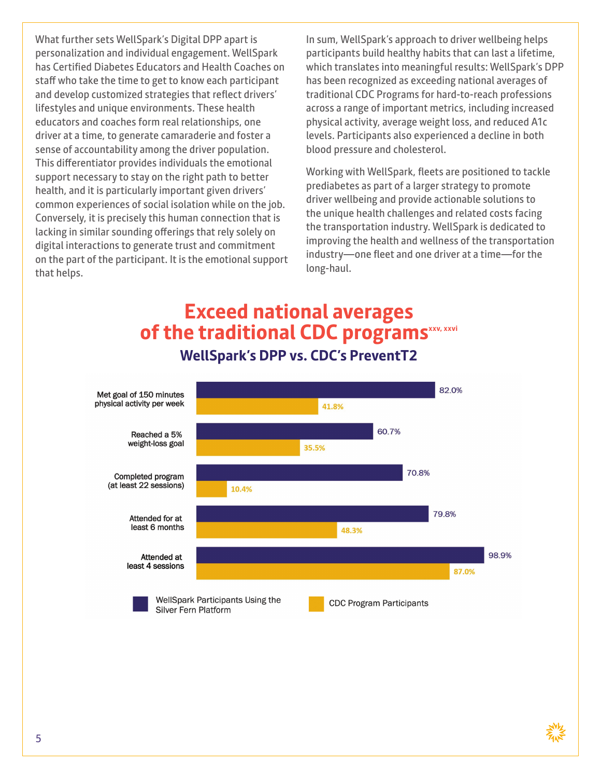What further sets WellSpark's Digital DPP apart is personalization and individual engagement. WellSpark has Certified Diabetes Educators and Health Coaches on staff who take the time to get to know each participant and develop customized strategies that reflect drivers' lifestyles and unique environments. These health educators and coaches form real relationships, one driver at a time, to generate camaraderie and foster a sense of accountability among the driver population. This differentiator provides individuals the emotional support necessary to stay on the right path to better health, and it is particularly important given drivers' common experiences of social isolation while on the job. Conversely, it is precisely this human connection that is lacking in similar sounding offerings that rely solely on digital interactions to generate trust and commitment on the part of the participant. It is the emotional support that helps.

In sum, WellSpark's approach to driver wellbeing helps participants build healthy habits that can last a lifetime, which translates into meaningful results: WellSpark's DPP has been recognized as exceeding national averages of traditional CDC Programs for hard-to-reach professions across a range of important metrics, including increased physical activity, average weight loss, and reduced A1c levels. Participants also experienced a decline in both blood pressure and cholesterol.

Working with WellSpark, fleets are positioned to tackle prediabetes as part of a larger strategy to promote driver wellbeing and provide actionable solutions to the unique health challenges and related costs facing the transportation industry. WellSpark is dedicated to improving the health and wellness of the transportation industry—one fleet and one driver at a time—for the long-haul.